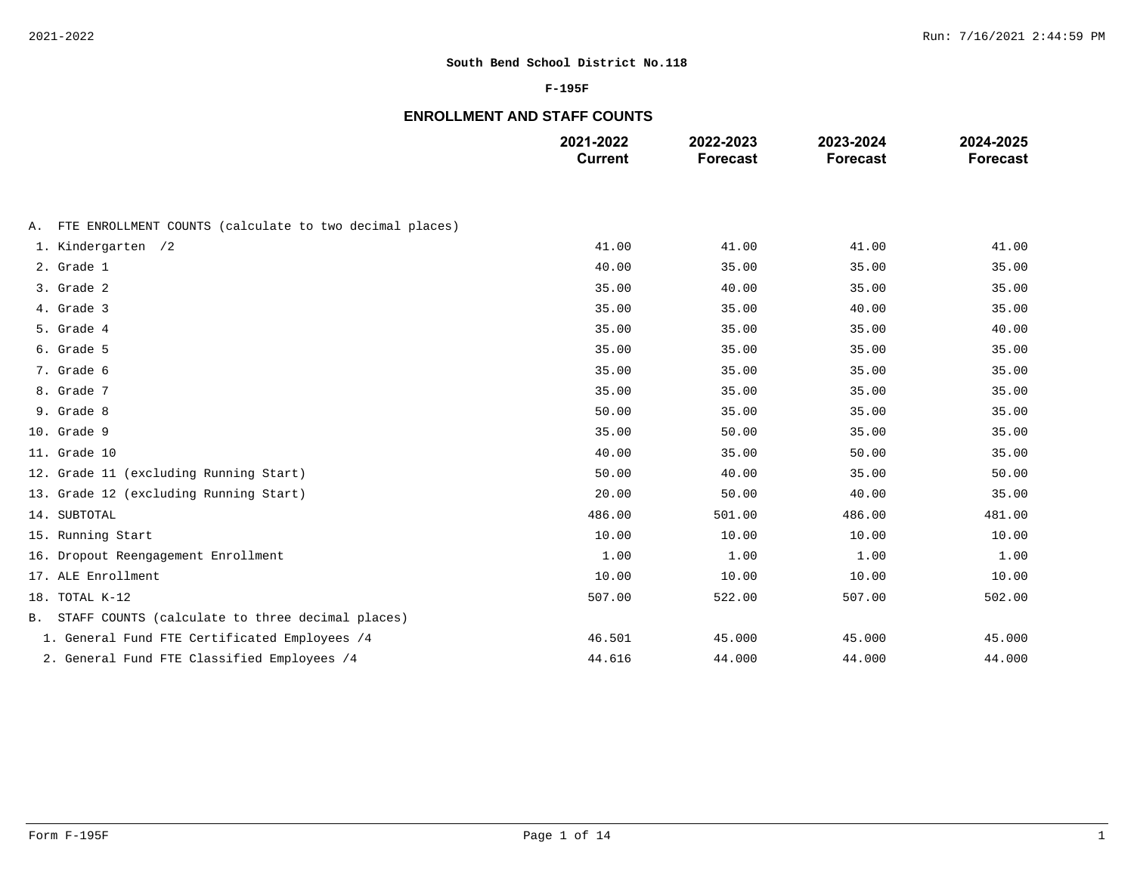### **F-195F**

# **ENROLLMENT AND STAFF COUNTS**

|                                                            | 2021-2022<br><b>Current</b> | 2022-2023<br><b>Forecast</b> | 2023-2024<br><b>Forecast</b> | 2024-2025<br><b>Forecast</b> |
|------------------------------------------------------------|-----------------------------|------------------------------|------------------------------|------------------------------|
|                                                            |                             |                              |                              |                              |
| A. FTE ENROLLMENT COUNTS (calculate to two decimal places) |                             |                              |                              |                              |
| 1. Kindergarten /2                                         | 41.00                       | 41.00                        | 41.00                        | 41.00                        |
| 2. Grade 1                                                 | 40.00                       | 35.00                        | 35.00                        | 35.00                        |
| 3. Grade 2                                                 | 35.00                       | 40.00                        | 35.00                        | 35.00                        |
| 4. Grade 3                                                 | 35.00                       | 35.00                        | 40.00                        | 35.00                        |
| 5. Grade 4                                                 | 35.00                       | 35.00                        | 35.00                        | 40.00                        |
| 6. Grade 5                                                 | 35.00                       | 35.00                        | 35.00                        | 35.00                        |
| 7. Grade 6                                                 | 35.00                       | 35.00                        | 35.00                        | 35.00                        |
| 8. Grade 7                                                 | 35.00                       | 35.00                        | 35.00                        | 35.00                        |
| 9. Grade 8                                                 | 50.00                       | 35.00                        | 35.00                        | 35.00                        |
| 10. Grade 9                                                | 35.00                       | 50.00                        | 35.00                        | 35.00                        |
| 11. Grade 10                                               | 40.00                       | 35.00                        | 50.00                        | 35.00                        |
| 12. Grade 11 (excluding Running Start)                     | 50.00                       | 40.00                        | 35.00                        | 50.00                        |
| 13. Grade 12 (excluding Running Start)                     | 20.00                       | 50.00                        | 40.00                        | 35.00                        |
| 14. SUBTOTAL                                               | 486.00                      | 501.00                       | 486.00                       | 481.00                       |
| 15. Running Start                                          | 10.00                       | 10.00                        | 10.00                        | 10.00                        |
| 16. Dropout Reengagement Enrollment                        | 1.00                        | 1.00                         | 1.00                         | 1.00                         |
| 17. ALE Enrollment                                         | 10.00                       | 10.00                        | 10.00                        | 10.00                        |
| 18. TOTAL K-12                                             | 507.00                      | 522.00                       | 507.00                       | 502.00                       |
| B. STAFF COUNTS (calculate to three decimal places)        |                             |                              |                              |                              |
| 1. General Fund FTE Certificated Employees /4              | 46.501                      | 45.000                       | 45.000                       | 45.000                       |
| 2. General Fund FTE Classified Employees /4                | 44.616                      | 44.000                       | 44.000                       | 44.000                       |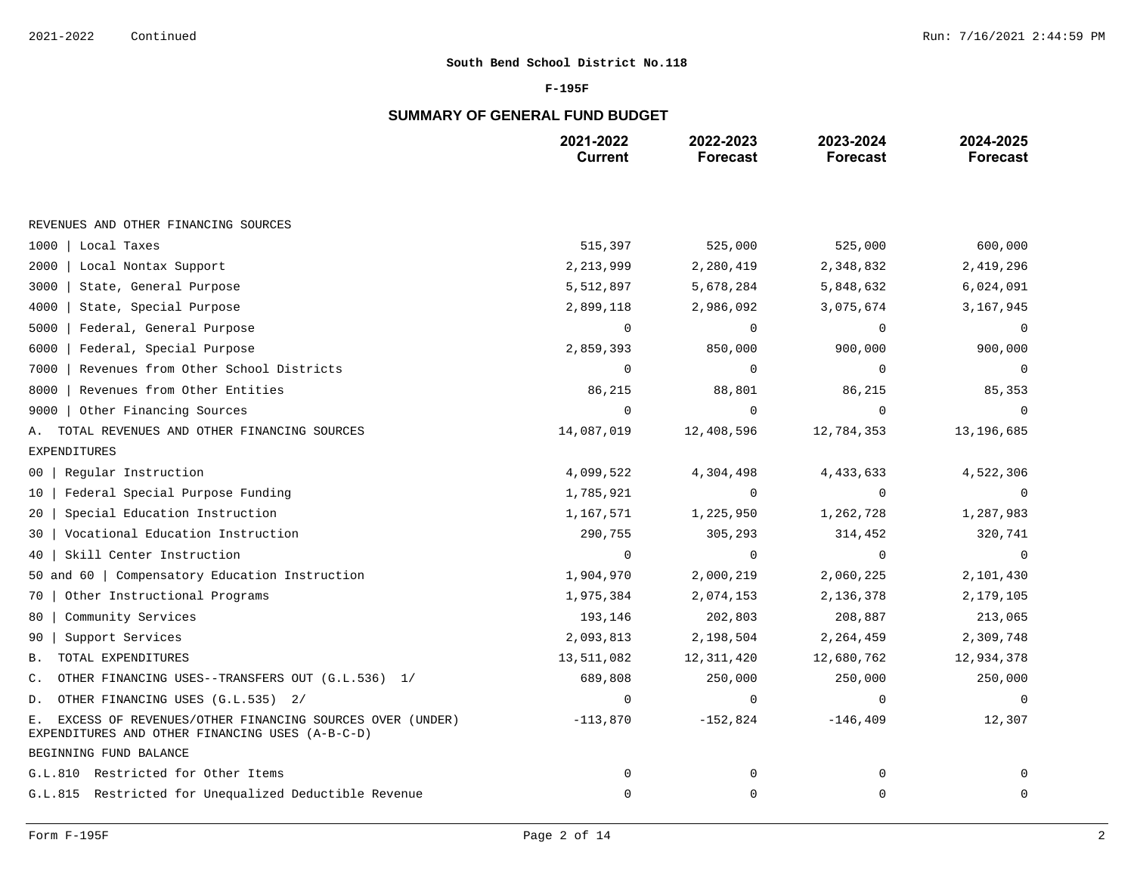### **F-195F**

# **SUMMARY OF GENERAL FUND BUDGET**

|                                                                                                                  | 2021-2022<br><b>Current</b> | 2022-2023<br><b>Forecast</b> | 2023-2024<br><b>Forecast</b> | 2024-2025<br><b>Forecast</b> |
|------------------------------------------------------------------------------------------------------------------|-----------------------------|------------------------------|------------------------------|------------------------------|
|                                                                                                                  |                             |                              |                              |                              |
| REVENUES AND OTHER FINANCING SOURCES                                                                             |                             |                              |                              |                              |
| 1000<br>Local Taxes                                                                                              | 515,397                     | 525,000                      | 525,000                      | 600,000                      |
| 2000<br>Local Nontax Support                                                                                     | 2,213,999                   | 2,280,419                    | 2,348,832                    | 2,419,296                    |
| 3000<br>State, General Purpose                                                                                   | 5,512,897                   | 5,678,284                    | 5,848,632                    | 6,024,091                    |
| 4000<br>State, Special Purpose                                                                                   | 2,899,118                   | 2,986,092                    | 3,075,674                    | 3,167,945                    |
| 5000<br>Federal, General Purpose                                                                                 | $\Omega$                    | ∩                            | $\Omega$                     | 0                            |
| Federal, Special Purpose<br>6000                                                                                 | 2,859,393                   | 850,000                      | 900,000                      | 900,000                      |
| 7000<br>Revenues from Other School Districts                                                                     | $\mathbf 0$                 | $\mathbf 0$                  | $\mathbf 0$                  | $\mathsf 0$                  |
| 8000<br>Revenues from Other Entities                                                                             | 86,215                      | 88,801                       | 86,215                       | 85,353                       |
| Other Financing Sources<br>9000                                                                                  | $\Omega$                    | $\Omega$                     | $\Omega$                     | $\mathbf 0$                  |
| TOTAL REVENUES AND OTHER FINANCING SOURCES<br>Α.                                                                 | 14,087,019                  | 12,408,596                   | 12,784,353                   | 13,196,685                   |
| <b>EXPENDITURES</b>                                                                                              |                             |                              |                              |                              |
| Reqular Instruction<br>00                                                                                        | 4,099,522                   | 4,304,498                    | 4,433,633                    | 4,522,306                    |
| Federal Special Purpose Funding<br>10                                                                            | 1,785,921                   | $\mathbf 0$                  | $\mathbf 0$                  | $\mathbf 0$                  |
| Special Education Instruction<br>20                                                                              | 1,167,571                   | 1,225,950                    | 1,262,728                    | 1,287,983                    |
| Vocational Education Instruction<br>30                                                                           | 290,755                     | 305,293                      | 314,452                      | 320,741                      |
| Skill Center Instruction<br>40                                                                                   | $\mathbf 0$                 | $\Omega$                     | $\Omega$                     | $\Omega$                     |
| 50 and 60   Compensatory Education Instruction                                                                   | 1,904,970                   | 2,000,219                    | 2,060,225                    | 2,101,430                    |
| Other Instructional Programs<br>70                                                                               | 1,975,384                   | 2,074,153                    | 2,136,378                    | 2,179,105                    |
| Community Services<br>80                                                                                         | 193,146                     | 202,803                      | 208,887                      | 213,065                      |
| Support Services<br>90                                                                                           | 2,093,813                   | 2,198,504                    | 2,264,459                    | 2,309,748                    |
| TOTAL EXPENDITURES<br>Β.                                                                                         | 13,511,082                  | 12,311,420                   | 12,680,762                   | 12,934,378                   |
| OTHER FINANCING USES--TRANSFERS OUT (G.L.536) 1/<br>C.                                                           | 689,808                     | 250,000                      | 250,000                      | 250,000                      |
| OTHER FINANCING USES (G.L.535) 2/<br>D.                                                                          | $\mathbf 0$                 | $\mathbf 0$                  | $\mathbf 0$                  | $\mathbf 0$                  |
| EXCESS OF REVENUES/OTHER FINANCING SOURCES OVER (UNDER)<br>Е.<br>EXPENDITURES AND OTHER FINANCING USES (A-B-C-D) | $-113,870$                  | $-152,824$                   | $-146, 409$                  | 12,307                       |
| BEGINNING FUND BALANCE                                                                                           |                             |                              |                              |                              |
| G.L.810 Restricted for Other Items                                                                               | $\mathbf 0$                 | 0                            | $\mathbf 0$                  | $\Omega$                     |
| G.L.815 Restricted for Unequalized Deductible Revenue                                                            | $\mathbf 0$                 | $\mathbf 0$                  | $\mathbf 0$                  | $\mathbf 0$                  |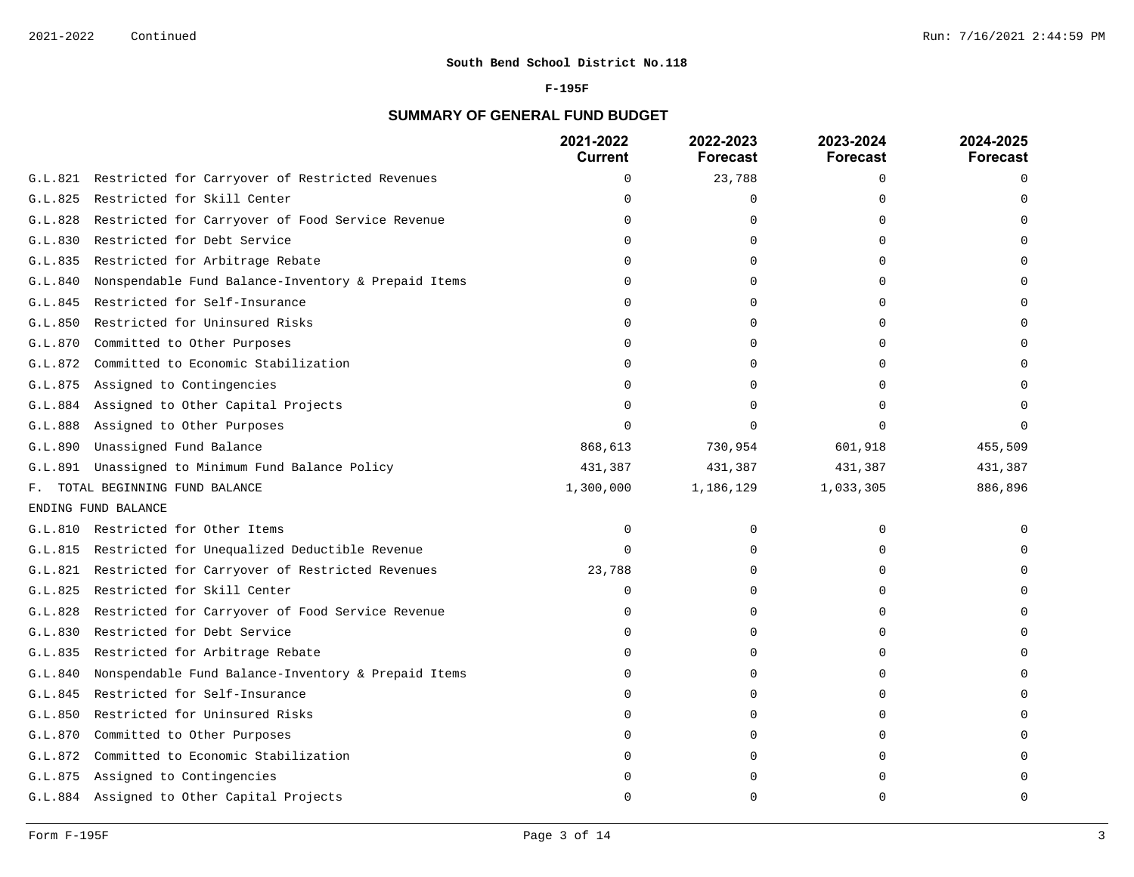#### **F-195F**

# **SUMMARY OF GENERAL FUND BUDGET**

|         |                                                       | 2021-2022<br><b>Current</b> | 2022-2023<br><b>Forecast</b> | 2023-2024<br><b>Forecast</b> | 2024-2025<br><b>Forecast</b> |
|---------|-------------------------------------------------------|-----------------------------|------------------------------|------------------------------|------------------------------|
| G.L.821 | Restricted for Carryover of Restricted Revenues       | $\mathbf 0$                 | 23,788                       | $\Omega$                     | $\Omega$                     |
| G.L.825 | Restricted for Skill Center                           | $\cap$                      | O                            | U                            |                              |
| G.L.828 | Restricted for Carryover of Food Service Revenue      | $\Omega$                    | $\Omega$                     | $\Omega$                     |                              |
| G.L.830 | Restricted for Debt Service                           | $\cap$                      | U                            |                              |                              |
| G.L.835 | Restricted for Arbitrage Rebate                       | n                           | O                            | U                            |                              |
| G.L.840 | Nonspendable Fund Balance-Inventory & Prepaid Items   | $\Omega$                    | O                            | $\Omega$                     |                              |
| G.L.845 | Restricted for Self-Insurance                         |                             | O                            |                              |                              |
| G.L.850 | Restricted for Uninsured Risks                        | <sup>0</sup>                | 0                            | O                            |                              |
| G.L.870 | Committed to Other Purposes                           | $\Omega$                    | O                            |                              |                              |
| G.L.872 | Committed to Economic Stabilization                   | $\cap$                      | O                            |                              |                              |
| G.L.875 | Assigned to Contingencies                             | $\Omega$                    | 0                            |                              |                              |
| G.L.884 | Assigned to Other Capital Projects                    | $\Omega$                    | O                            |                              |                              |
| G.L.888 | Assigned to Other Purposes                            | $\cap$                      | U                            | $\cap$                       |                              |
| G.L.890 | Unassigned Fund Balance                               | 868,613                     | 730,954                      | 601,918                      | 455,509                      |
| G.L.891 | Unassigned to Minimum Fund Balance Policy             | 431,387                     | 431,387                      | 431,387                      | 431,387                      |
|         | F. TOTAL BEGINNING FUND BALANCE                       | 1,300,000                   | 1,186,129                    | 1,033,305                    | 886,896                      |
|         | ENDING FUND BALANCE                                   |                             |                              |                              |                              |
| G.L.810 | Restricted for Other Items                            | 0                           | 0                            | $\mathbf 0$                  |                              |
|         | G.L.815 Restricted for Unequalized Deductible Revenue | $\Omega$                    | 0                            | U                            |                              |
| G.L.821 | Restricted for Carryover of Restricted Revenues       | 23,788                      | 0                            | $\Omega$                     |                              |
| G.L.825 | Restricted for Skill Center                           | 0                           | U                            | $\cap$                       |                              |
| G.L.828 | Restricted for Carryover of Food Service Revenue      | $\Omega$                    | O                            | O                            |                              |
| G.L.830 | Restricted for Debt Service                           | $\Omega$                    | $\Omega$                     | $\Omega$                     |                              |
| G.L.835 | Restricted for Arbitrage Rebate                       | $\mathbf 0$                 | U                            | $\cap$                       |                              |
| G.L.840 | Nonspendable Fund Balance-Inventory & Prepaid Items   | $\Omega$                    | 0                            | O                            |                              |
| G.L.845 | Restricted for Self-Insurance                         | $\cap$                      | 0                            | $\cap$                       |                              |
| G.L.850 | Restricted for Uninsured Risks                        | $\cap$                      | O                            | U                            |                              |
| G.L.870 | Committed to Other Purposes                           | <sup>0</sup>                | O                            | O                            |                              |
| G.L.872 | Committed to Economic Stabilization                   | <sup>0</sup>                | 0                            | O                            |                              |
| G.L.875 | Assigned to Contingencies                             |                             | U                            |                              |                              |
|         | G.L.884 Assigned to Other Capital Projects            | ∩                           | U                            | $\cap$                       |                              |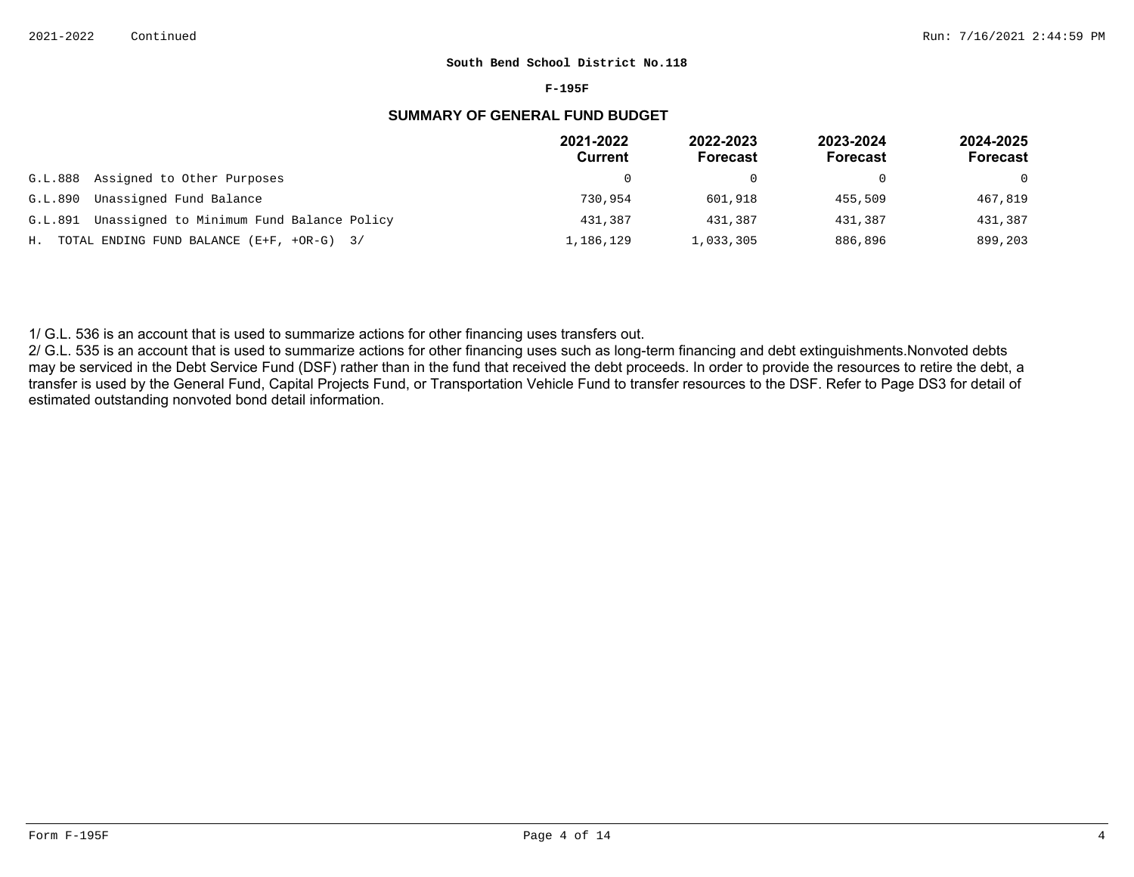#### **F-195F**

# **SUMMARY OF GENERAL FUND BUDGET**

|         |                                                | 2021-2022<br><b>Current</b> | 2022-2023<br><b>Forecast</b> | 2023-2024<br><b>Forecast</b> | 2024-2025<br>Forecast |
|---------|------------------------------------------------|-----------------------------|------------------------------|------------------------------|-----------------------|
| G.L.888 | Assigned to Other Purposes                     | <sup>0</sup>                |                              |                              | $\Omega$              |
| G.L.890 | Unassigned Fund Balance                        | 730,954                     | 601,918                      | 455,509                      | 467,819               |
| G.L.891 | Unassigned to Minimum Fund Balance Policy      | 431,387                     | 431,387                      | 431,387                      | 431,387               |
|         | H. TOTAL ENDING FUND BALANCE $(E+F, +OR-G)$ 3/ | 1,186,129                   | 1,033,305                    | 886,896                      | 899,203               |

1/ G.L. 536 is an account that is used to summarize actions for other financing uses transfers out.

2/ G.L. 535 is an account that is used to summarize actions for other financing uses such as long-term financing and debt extinguishments. Nonvoted debts may be serviced in the Debt Service Fund (DSF) rather than in the fund that received the debt proceeds. In order to provide the resources to retire the debt, a transfer is used by the General Fund, Capital Projects Fund, or Transportation Vehicle Fund to transfer resources to the DSF. Refer to Page DS3 for detail of estimated outstanding nonvoted bond detail information.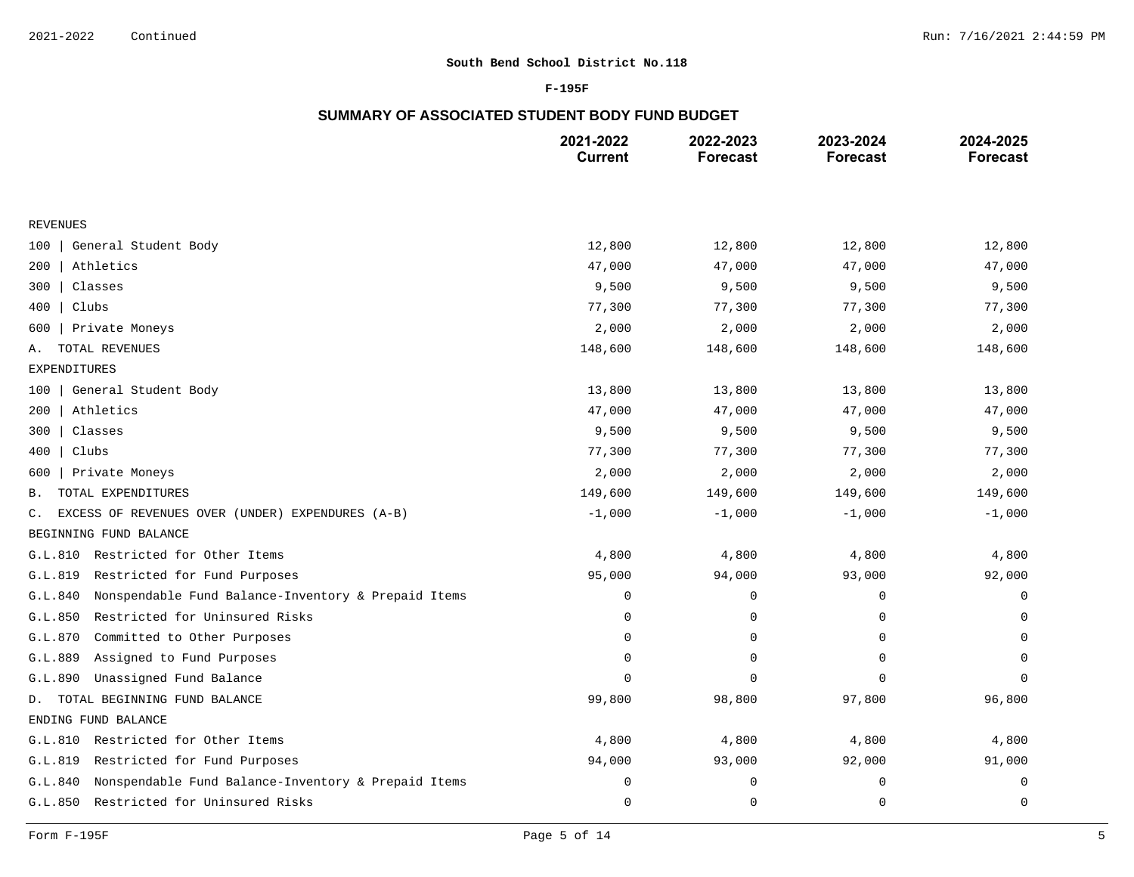### **F-195F**

# **SUMMARY OF ASSOCIATED STUDENT BODY FUND BUDGET**

|                                                                | 2021-2022<br><b>Current</b> | 2022-2023<br><b>Forecast</b> | 2023-2024<br><b>Forecast</b> | 2024-2025<br><b>Forecast</b> |
|----------------------------------------------------------------|-----------------------------|------------------------------|------------------------------|------------------------------|
|                                                                |                             |                              |                              |                              |
| <b>REVENUES</b>                                                |                             |                              |                              |                              |
| General Student Body<br>100                                    | 12,800                      | 12,800                       | 12,800                       | 12,800                       |
| Athletics<br>200                                               | 47,000                      | 47,000                       | 47,000                       | 47,000                       |
| Classes<br>300                                                 | 9,500                       | 9,500                        | 9,500                        | 9,500                        |
| Clubs<br>400                                                   | 77,300                      | 77,300                       | 77,300                       | 77,300                       |
| Private Moneys<br>600                                          | 2,000                       | 2,000                        | 2,000                        | 2,000                        |
| TOTAL REVENUES<br>Α.                                           | 148,600                     | 148,600                      | 148,600                      | 148,600                      |
| <b>EXPENDITURES</b>                                            |                             |                              |                              |                              |
| General Student Body<br>100                                    | 13,800                      | 13,800                       | 13,800                       | 13,800                       |
| 200<br>Athletics                                               | 47,000                      | 47,000                       | 47,000                       | 47,000                       |
| Classes<br>300                                                 | 9,500                       | 9,500                        | 9,500                        | 9,500                        |
| Clubs<br>400                                                   | 77,300                      | 77,300                       | 77,300                       | 77,300                       |
| Private Moneys<br>600                                          | 2,000                       | 2,000                        | 2,000                        | 2,000                        |
| TOTAL EXPENDITURES<br>Β.                                       | 149,600                     | 149,600                      | 149,600                      | 149,600                      |
| EXCESS OF REVENUES OVER (UNDER) EXPENDURES (A-B)<br>C.         | $-1,000$                    | $-1,000$                     | $-1,000$                     | $-1,000$                     |
| BEGINNING FUND BALANCE                                         |                             |                              |                              |                              |
| Restricted for Other Items<br>G.L.810                          | 4,800                       | 4,800                        | 4,800                        | 4,800                        |
| Restricted for Fund Purposes<br>G.L.819                        | 95,000                      | 94,000                       | 93,000                       | 92,000                       |
| Nonspendable Fund Balance-Inventory & Prepaid Items<br>G.L.840 | 0                           | 0                            | 0                            | $\mathbf 0$                  |
| Restricted for Uninsured Risks<br>G.L.850                      | 0                           | 0                            | 0                            | 0                            |
| Committed to Other Purposes<br>G.L.870                         | 0                           | 0                            | 0                            | $\Omega$                     |
| Assigned to Fund Purposes<br>G.L.889                           | $\Omega$                    | 0                            | 0                            | $\Omega$                     |
| Unassigned Fund Balance<br>G.L.890                             | $\Omega$                    | 0                            | $\mathbf 0$                  | $\Omega$                     |
| D. TOTAL BEGINNING FUND BALANCE                                | 99,800                      | 98,800                       | 97,800                       | 96,800                       |
| ENDING FUND BALANCE                                            |                             |                              |                              |                              |
| Restricted for Other Items<br>G.L.810                          | 4,800                       | 4,800                        | 4,800                        | 4,800                        |
| G.L.819<br>Restricted for Fund Purposes                        | 94,000                      | 93,000                       | 92,000                       | 91,000                       |
| Nonspendable Fund Balance-Inventory & Prepaid Items<br>G.L.840 | 0                           | 0                            | 0                            | 0                            |
| G.L.850<br>Restricted for Uninsured Risks                      | $\mathsf 0$                 | $\mathbf 0$                  | 0                            | 0                            |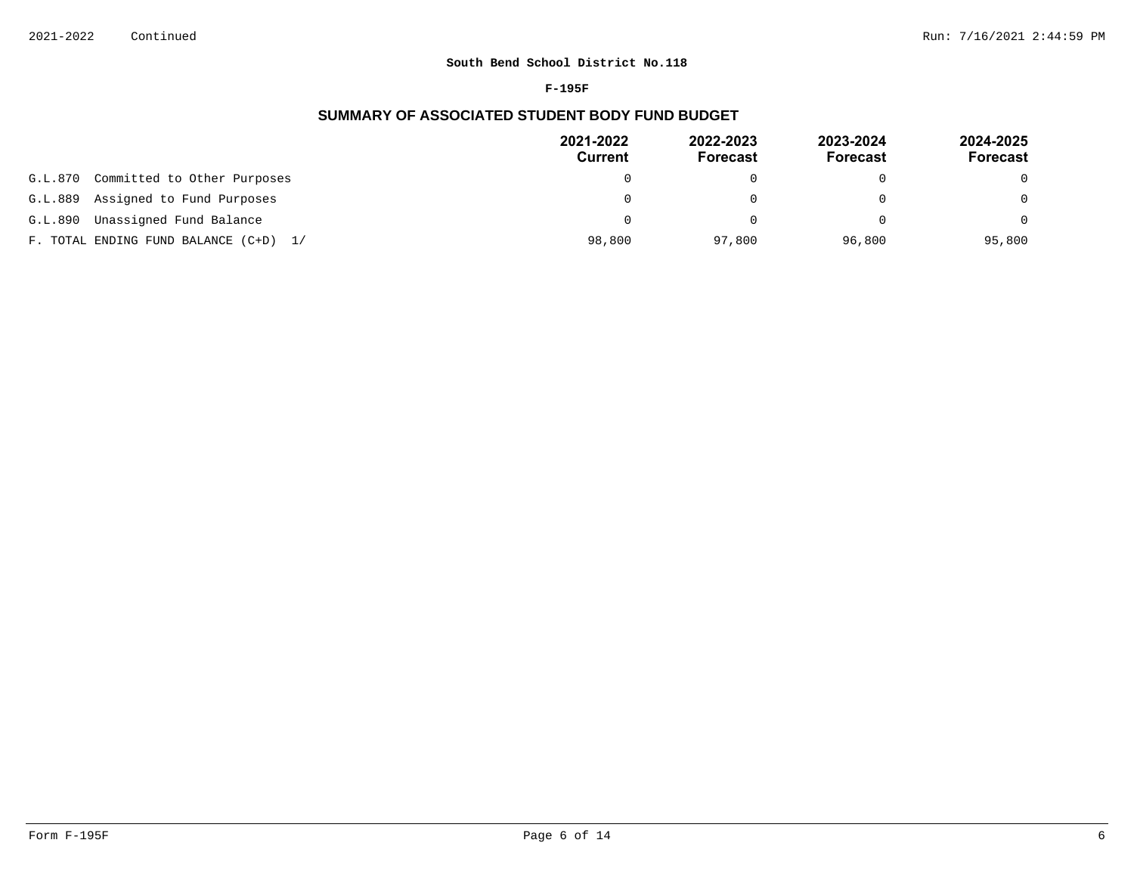#### **F-195F**

# **SUMMARY OF ASSOCIATED STUDENT BODY FUND BUDGET**

|                                        | 2021-2022<br>Current | 2022-2023<br><b>Forecast</b> | 2023-2024<br><b>Forecast</b> | 2024-2025<br>Forecast |
|----------------------------------------|----------------------|------------------------------|------------------------------|-----------------------|
| Committed to Other Purposes<br>G.L.870 | $\Omega$             |                              |                              | $\Omega$              |
| Assigned to Fund Purposes<br>G.L.889   | $\Omega$             |                              |                              | $\Omega$              |
| Unassigned Fund Balance<br>G.L.890     | $\Omega$             |                              |                              | $\Omega$              |
| F. TOTAL ENDING FUND BALANCE (C+D) 1/  | 98,800               | 97,800                       | 96,800                       | 95,800                |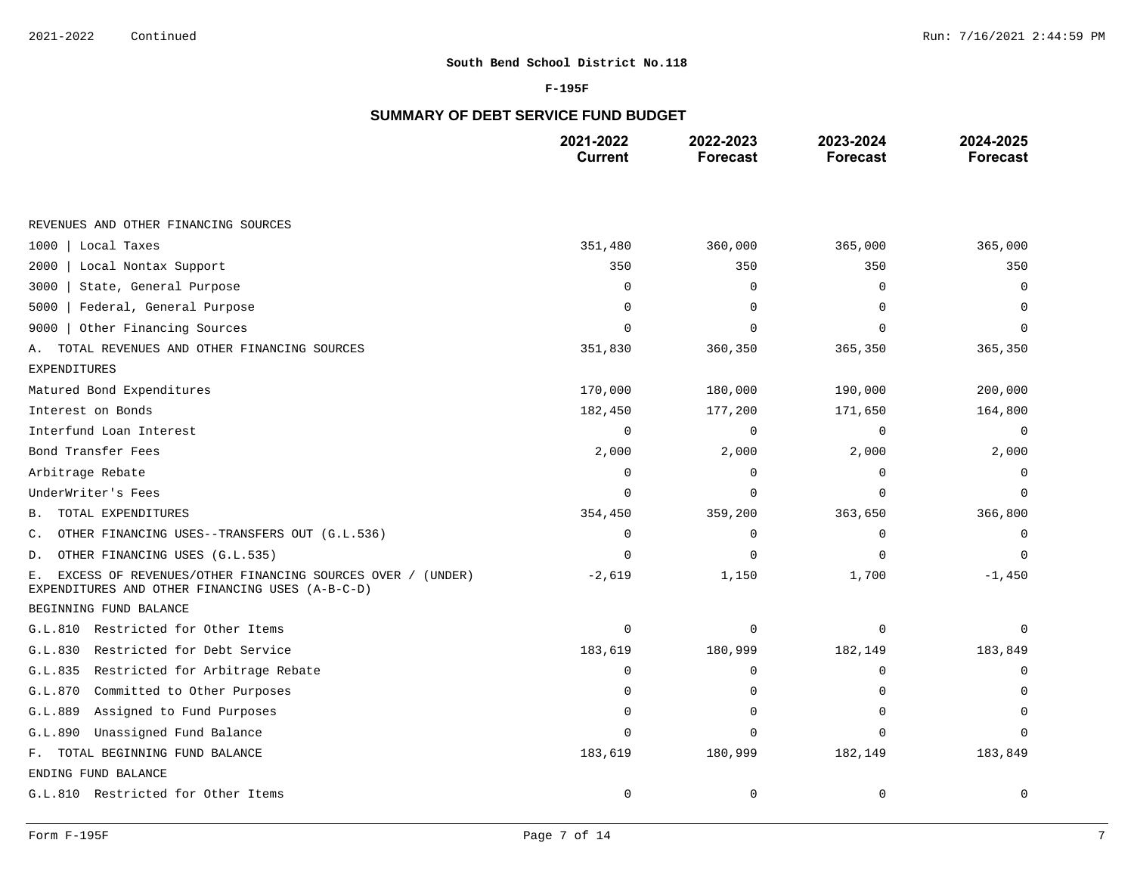### **F-195F**

# **SUMMARY OF DEBT SERVICE FUND BUDGET**

|                                                                                                                    | 2021-2022<br><b>Current</b> | 2022-2023<br><b>Forecast</b> | 2023-2024<br><b>Forecast</b> | 2024-2025<br><b>Forecast</b> |
|--------------------------------------------------------------------------------------------------------------------|-----------------------------|------------------------------|------------------------------|------------------------------|
|                                                                                                                    |                             |                              |                              |                              |
| REVENUES AND OTHER FINANCING SOURCES                                                                               |                             |                              |                              |                              |
| 1000<br>Local Taxes                                                                                                | 351,480                     | 360,000                      | 365,000                      | 365,000                      |
| 2000<br>Local Nontax Support                                                                                       | 350                         | 350                          | 350                          | 350                          |
| State, General Purpose<br>3000                                                                                     | $\Omega$                    | $\Omega$                     | $\Omega$                     | $\Omega$                     |
| Federal, General Purpose<br>5000                                                                                   | $\Omega$                    | $\Omega$                     |                              |                              |
| Other Financing Sources<br>9000                                                                                    | n                           | $\Omega$                     |                              | ∩                            |
| TOTAL REVENUES AND OTHER FINANCING SOURCES<br>Α.                                                                   | 351,830                     | 360,350                      | 365,350                      | 365,350                      |
| <b>EXPENDITURES</b>                                                                                                |                             |                              |                              |                              |
| Matured Bond Expenditures                                                                                          | 170,000                     | 180,000                      | 190,000                      | 200,000                      |
| Interest on Bonds                                                                                                  | 182,450                     | 177,200                      | 171,650                      | 164,800                      |
| Interfund Loan Interest                                                                                            | $\Omega$                    | $\mathbf 0$                  | $\Omega$                     | $\Omega$                     |
| Bond Transfer Fees                                                                                                 | 2,000                       | 2,000                        | 2,000                        | 2,000                        |
| Arbitrage Rebate                                                                                                   | $\Omega$                    | $\Omega$                     | $\Omega$                     | $\Omega$                     |
| UnderWriter's Fees                                                                                                 | $\Omega$                    | $\mathbf 0$                  | $\cap$                       | $\Omega$                     |
| TOTAL EXPENDITURES<br>В.                                                                                           | 354,450                     | 359,200                      | 363,650                      | 366,800                      |
| OTHER FINANCING USES--TRANSFERS OUT (G.L.536)<br>С.                                                                | $\Omega$                    | $\mathbf 0$                  | $\Omega$                     | $\Omega$                     |
| OTHER FINANCING USES (G.L.535)<br>D.                                                                               | O                           | $\Omega$                     |                              | $\cap$                       |
| EXCESS OF REVENUES/OTHER FINANCING SOURCES OVER / (UNDER)<br>Ε.<br>EXPENDITURES AND OTHER FINANCING USES (A-B-C-D) | $-2,619$                    | 1,150                        | 1,700                        | $-1,450$                     |
| BEGINNING FUND BALANCE                                                                                             |                             |                              |                              |                              |
| G.L.810 Restricted for Other Items                                                                                 | $\Omega$                    | $\mathbf 0$                  | $\Omega$                     | $\Omega$                     |
| Restricted for Debt Service<br>G.L.830                                                                             | 183,619                     | 180,999                      | 182,149                      | 183,849                      |
| G.L.835<br>Restricted for Arbitrage Rebate                                                                         | $\mathbf 0$                 | 0                            | $\Omega$                     | 0                            |
| G.L.870<br>Committed to Other Purposes                                                                             | O                           | 0                            |                              |                              |
| Assigned to Fund Purposes<br>G.L.889                                                                               | n                           | $\mathbf 0$                  |                              |                              |
| Unassigned Fund Balance<br>G.L.890                                                                                 | $\Omega$                    | $\Omega$                     |                              |                              |
| F. TOTAL BEGINNING FUND BALANCE                                                                                    | 183,619                     | 180,999                      | 182,149                      | 183,849                      |
| ENDING FUND BALANCE                                                                                                |                             |                              |                              |                              |
| G.L.810 Restricted for Other Items                                                                                 | $\mathbf 0$                 | 0                            | $\mathbf 0$                  | 0                            |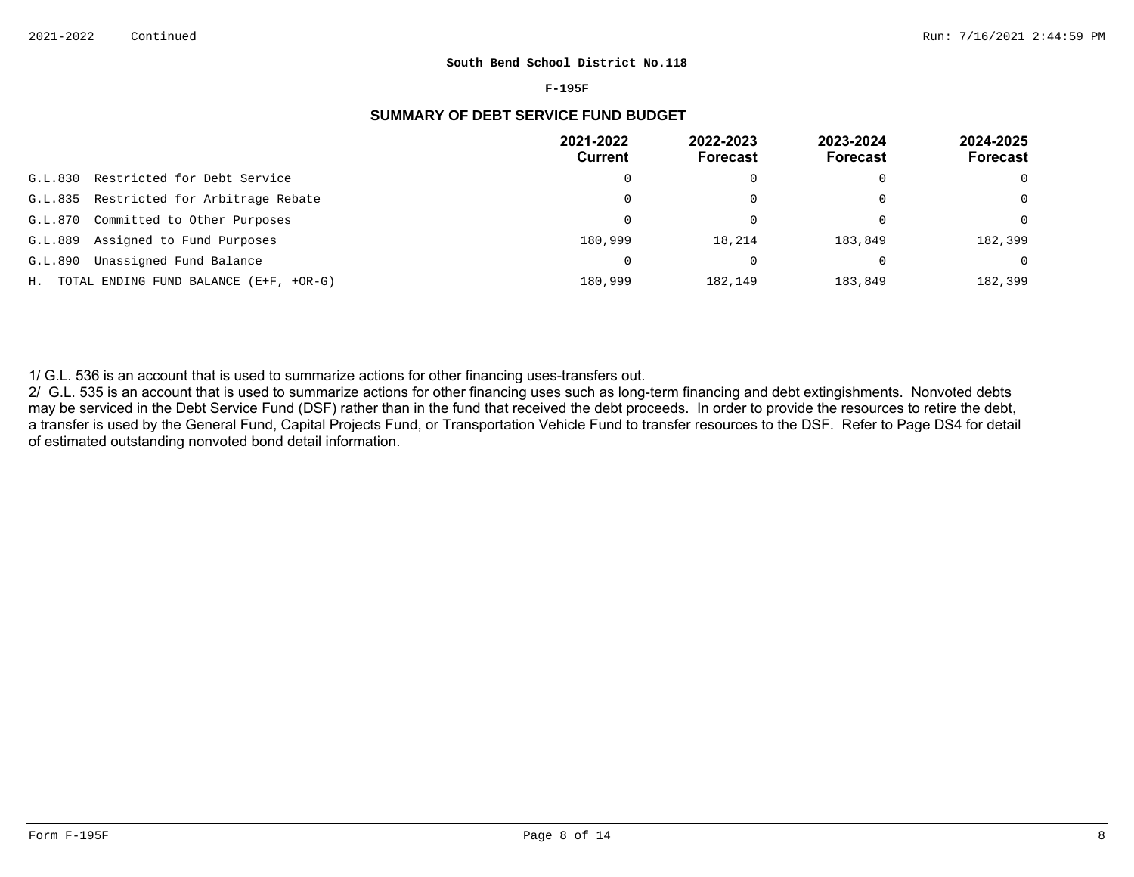#### **F-195F**

# **SUMMARY OF DEBT SERVICE FUND BUDGET**

|         |                                           | 2021-2022<br><b>Current</b> | 2022-2023<br><b>Forecast</b> | 2023-2024<br>Forecast | 2024-2025<br><b>Forecast</b> |
|---------|-------------------------------------------|-----------------------------|------------------------------|-----------------------|------------------------------|
| G.L.830 | Restricted for Debt Service               |                             |                              | 0                     | $\Omega$                     |
|         | G.L.835 Restricted for Arbitrage Rebate   | $\Omega$                    |                              | 0                     | $\Omega$                     |
| G.L.870 | Committed to Other Purposes               |                             |                              | $\Omega$              | $\Omega$                     |
| G.L.889 | Assigned to Fund Purposes                 | 180,999                     | 18,214                       | 183,849               | 182,399                      |
| G.L.890 | Unassigned Fund Balance                   |                             |                              |                       | $\Omega$                     |
|         | H. TOTAL ENDING FUND BALANCE (E+F, +OR-G) | 180,999                     | 182,149                      | 183,849               | 182,399                      |

1/ G.L. 536 is an account that is used to summarize actions for other financing uses-transfers out.

2/ G.L. 535 is an account that is used to summarize actions for other financing uses such as long-term financing and debt extingishments. Nonvoted debts may be serviced in the Debt Service Fund (DSF) rather than in the fund that received the debt proceeds. In order to provide the resources to retire the debt, a transfer is used by the General Fund, Capital Projects Fund, or Transportation Vehicle Fund to transfer resources to the DSF. Refer to Page DS4 for detail of estimated outstanding nonvoted bond detail information.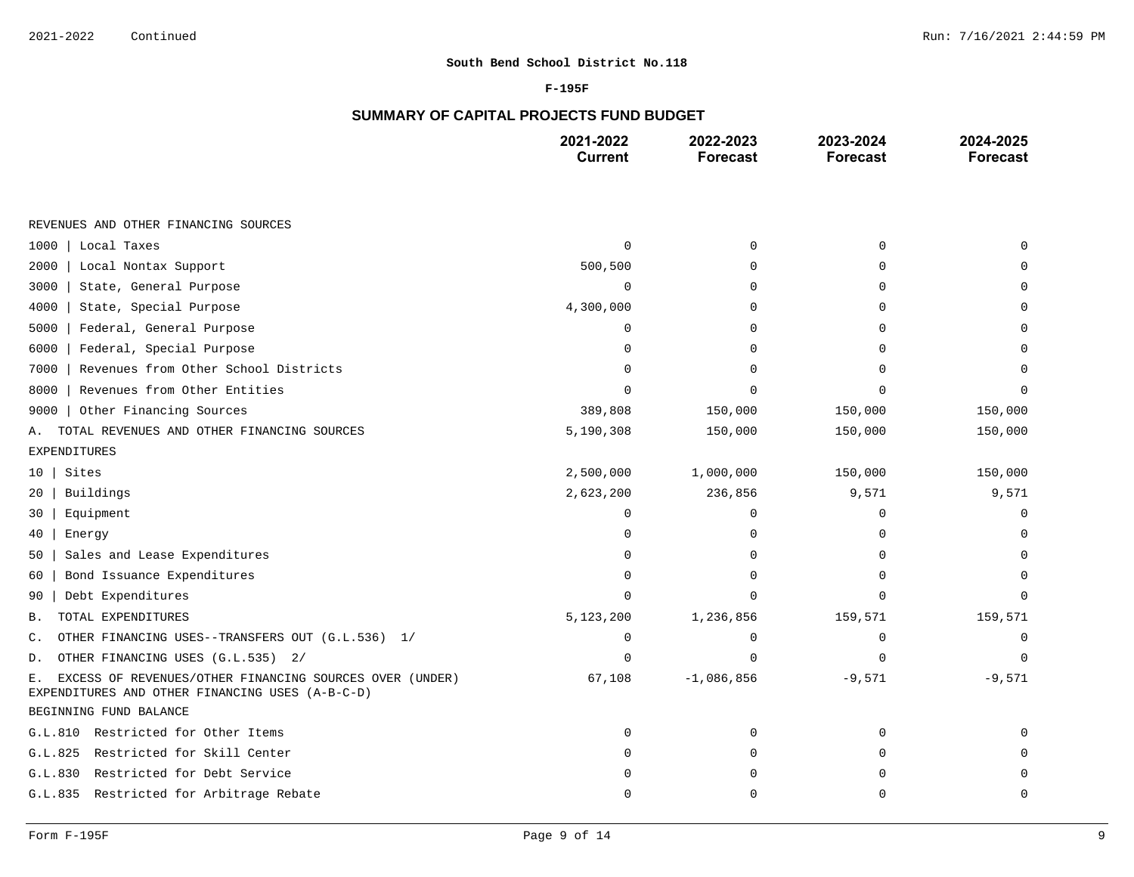#### **F-195F**

# **SUMMARY OF CAPITAL PROJECTS FUND BUDGET**

|                                                                                                                  | 2021-2022<br><b>Current</b> | 2022-2023<br><b>Forecast</b> | 2023-2024<br><b>Forecast</b> | 2024-2025<br><b>Forecast</b> |
|------------------------------------------------------------------------------------------------------------------|-----------------------------|------------------------------|------------------------------|------------------------------|
|                                                                                                                  |                             |                              |                              |                              |
| REVENUES AND OTHER FINANCING SOURCES                                                                             |                             |                              |                              |                              |
| 1000<br>Local Taxes                                                                                              | $\Omega$                    | $\mathbf 0$                  | $\Omega$                     |                              |
| 2000<br>Local Nontax Support                                                                                     | 500,500                     | $\Omega$                     | $\Omega$                     |                              |
| 3000<br>State, General Purpose                                                                                   | $\mathbf 0$                 | $\Omega$                     | $\Omega$                     |                              |
| State, Special Purpose<br>4000                                                                                   | 4,300,000                   | $\Omega$                     | ∩                            |                              |
| 5000<br>Federal, General Purpose                                                                                 | $\Omega$                    | $\Omega$                     | $\Omega$                     |                              |
| 6000<br>Federal, Special Purpose                                                                                 | $\Omega$                    | $\Omega$                     | $\Omega$                     |                              |
| Revenues from Other School Districts<br>7000                                                                     | $\Omega$                    | $\Omega$                     | ∩                            |                              |
| Revenues from Other Entities<br>8000                                                                             | ∩                           |                              | $\cap$                       |                              |
| Other Financing Sources<br>9000                                                                                  | 389,808                     | 150,000                      | 150,000                      | 150,000                      |
| TOTAL REVENUES AND OTHER FINANCING SOURCES<br>Α.                                                                 | 5,190,308                   | 150,000                      | 150,000                      | 150,000                      |
| <b>EXPENDITURES</b>                                                                                              |                             |                              |                              |                              |
| Sites<br>10                                                                                                      | 2,500,000                   | 1,000,000                    | 150,000                      | 150,000                      |
| Buildings<br>20                                                                                                  | 2,623,200                   | 236,856                      | 9,571                        | 9,571                        |
| Equipment<br>30                                                                                                  | $\Omega$                    | 0                            | $\Omega$                     | $\Omega$                     |
| Energy<br>40                                                                                                     | $\Omega$                    | $\mathbf 0$                  | $\Omega$                     | $\Omega$                     |
| Sales and Lease Expenditures<br>50                                                                               | O                           | $\Omega$                     | $\Omega$                     |                              |
| Bond Issuance Expenditures<br>60                                                                                 | $\Omega$                    | 0                            | $\Omega$                     |                              |
| Debt Expenditures<br>90                                                                                          | $\cap$                      | $\Omega$                     | $\cap$                       | ∩                            |
| TOTAL EXPENDITURES<br><b>B.</b>                                                                                  | 5,123,200                   | 1,236,856                    | 159,571                      | 159,571                      |
| OTHER FINANCING USES--TRANSFERS OUT (G.L.536) 1/<br>C.                                                           | $\mathbf 0$                 | 0                            | $\Omega$                     | 0                            |
| OTHER FINANCING USES (G.L.535) 2/<br>D.                                                                          | $\cap$                      | $\Omega$                     | $\Omega$                     | $\Omega$                     |
| EXCESS OF REVENUES/OTHER FINANCING SOURCES OVER (UNDER)<br>Е.<br>EXPENDITURES AND OTHER FINANCING USES (A-B-C-D) | 67,108                      | $-1,086,856$                 | $-9,571$                     | $-9,571$                     |
| BEGINNING FUND BALANCE                                                                                           |                             |                              |                              |                              |
| G.L.810 Restricted for Other Items                                                                               | $\Omega$                    | 0                            | $\Omega$                     |                              |
| Restricted for Skill Center<br>G.L.825                                                                           | O                           | 0                            | $\mathbf 0$                  |                              |
| Restricted for Debt Service<br>G.L.830                                                                           | n                           | $\Omega$                     | $\Omega$                     |                              |
| G.L.835 Restricted for Arbitrage Rebate                                                                          | $\Omega$                    | $\mathbf 0$                  | $\Omega$                     | 0                            |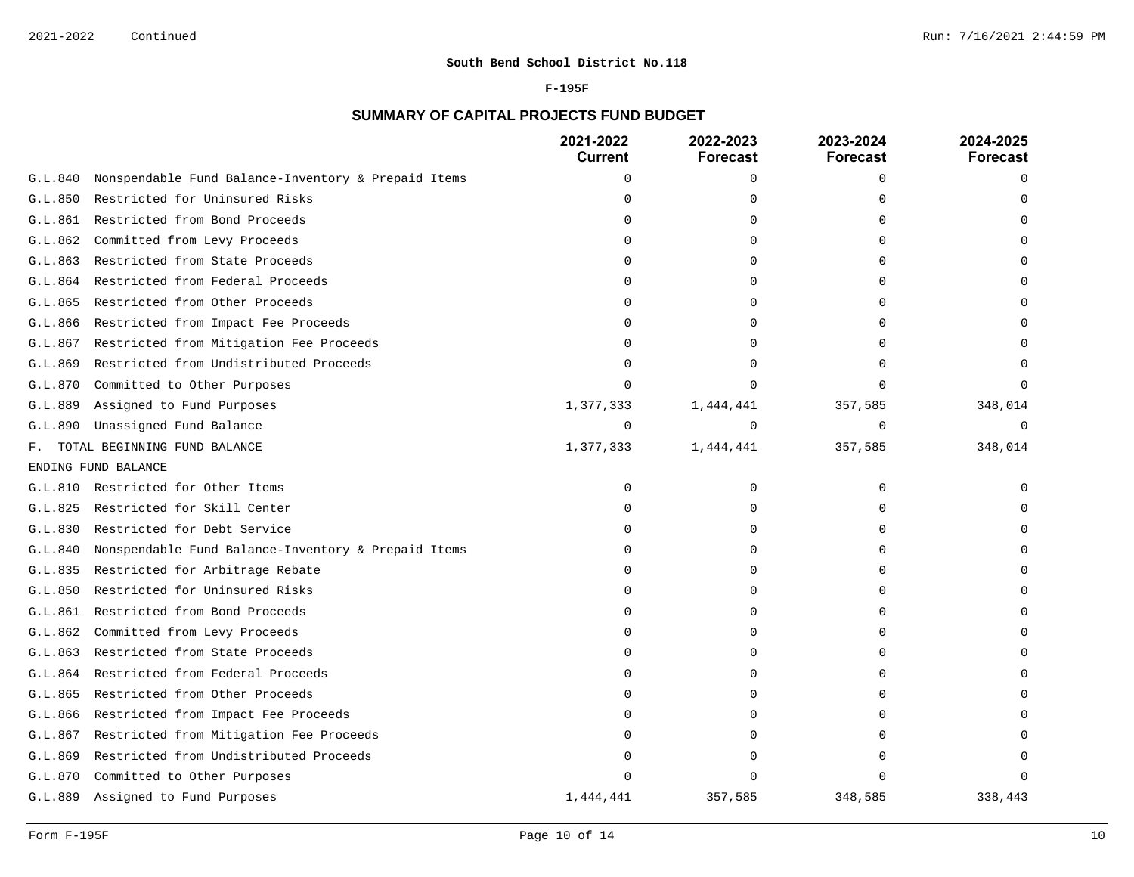### **F-195F**

# **SUMMARY OF CAPITAL PROJECTS FUND BUDGET**

|         |                                                     | 2021-2022<br><b>Current</b> | 2022-2023<br><b>Forecast</b> | 2023-2024<br><b>Forecast</b> | 2024-2025<br><b>Forecast</b> |
|---------|-----------------------------------------------------|-----------------------------|------------------------------|------------------------------|------------------------------|
| G.L.840 | Nonspendable Fund Balance-Inventory & Prepaid Items | $\Omega$                    | 0                            | $\Omega$                     | $\cap$                       |
| G.L.850 | Restricted for Uninsured Risks                      | $\Omega$                    | $\Omega$                     |                              |                              |
| G.L.861 | Restricted from Bond Proceeds                       | $\Omega$                    | 0                            |                              |                              |
| G.L.862 | Committed from Levy Proceeds                        | ∩                           | O                            |                              |                              |
| G.L.863 | Restricted from State Proceeds                      | ∩                           | $\Omega$                     |                              |                              |
| G.L.864 | Restricted from Federal Proceeds                    | $\cap$                      | 0                            |                              |                              |
| G.L.865 | Restricted from Other Proceeds                      | U                           | O                            |                              |                              |
| G.L.866 | Restricted from Impact Fee Proceeds                 | <sup>0</sup>                | O                            |                              |                              |
| G.L.867 | Restricted from Mitigation Fee Proceeds             | ∩                           | U                            |                              |                              |
| G.L.869 | Restricted from Undistributed Proceeds              | U                           | $\Omega$                     |                              |                              |
| G.L.870 | Committed to Other Purposes                         | $\Omega$                    | O                            |                              |                              |
| G.L.889 | Assigned to Fund Purposes                           | 1,377,333                   | 1,444,441                    | 357,585                      | 348,014                      |
| G.L.890 | Unassigned Fund Balance                             | $\mathbf 0$                 | $\Omega$                     | $\Omega$                     | $\Omega$                     |
| F.      | TOTAL BEGINNING FUND BALANCE                        | 1,377,333                   | 1,444,441                    | 357,585                      | 348,014                      |
|         | ENDING FUND BALANCE                                 |                             |                              |                              |                              |
| G.L.810 | Restricted for Other Items                          | $\mathbf 0$                 | $\Omega$                     | $\Omega$                     |                              |
| G.L.825 | Restricted for Skill Center                         | $\cap$                      | $\Omega$                     |                              |                              |
| G.L.830 | Restricted for Debt Service                         | n                           | $\Omega$                     |                              |                              |
| G.L.840 | Nonspendable Fund Balance-Inventory & Prepaid Items | $\Omega$                    | $\Omega$                     |                              |                              |
| G.L.835 | Restricted for Arbitrage Rebate                     | ∩                           | $\Omega$                     |                              |                              |
| G.L.850 | Restricted for Uninsured Risks                      | $\Omega$                    | $\Omega$                     |                              |                              |
| G.L.861 | Restricted from Bond Proceeds                       | ∩                           | O                            |                              |                              |
| G.L.862 | Committed from Levy Proceeds                        | n                           | 0                            |                              |                              |
| G.L.863 | Restricted from State Proceeds                      | U                           | $\Omega$                     |                              |                              |
| G.L.864 | Restricted from Federal Proceeds                    | ∩                           | O                            |                              |                              |
| G.L.865 | Restricted from Other Proceeds                      | ∩                           | $\Omega$                     |                              |                              |
| G.L.866 | Restricted from Impact Fee Proceeds                 |                             | $\Omega$                     |                              |                              |
| G.L.867 | Restricted from Mitigation Fee Proceeds             |                             | O                            |                              |                              |
| G.L.869 | Restricted from Undistributed Proceeds              |                             |                              |                              |                              |
| G.L.870 | Committed to Other Purposes                         |                             |                              |                              |                              |
| G.L.889 | Assigned to Fund Purposes                           | 1,444,441                   | 357,585                      | 348,585                      | 338,443                      |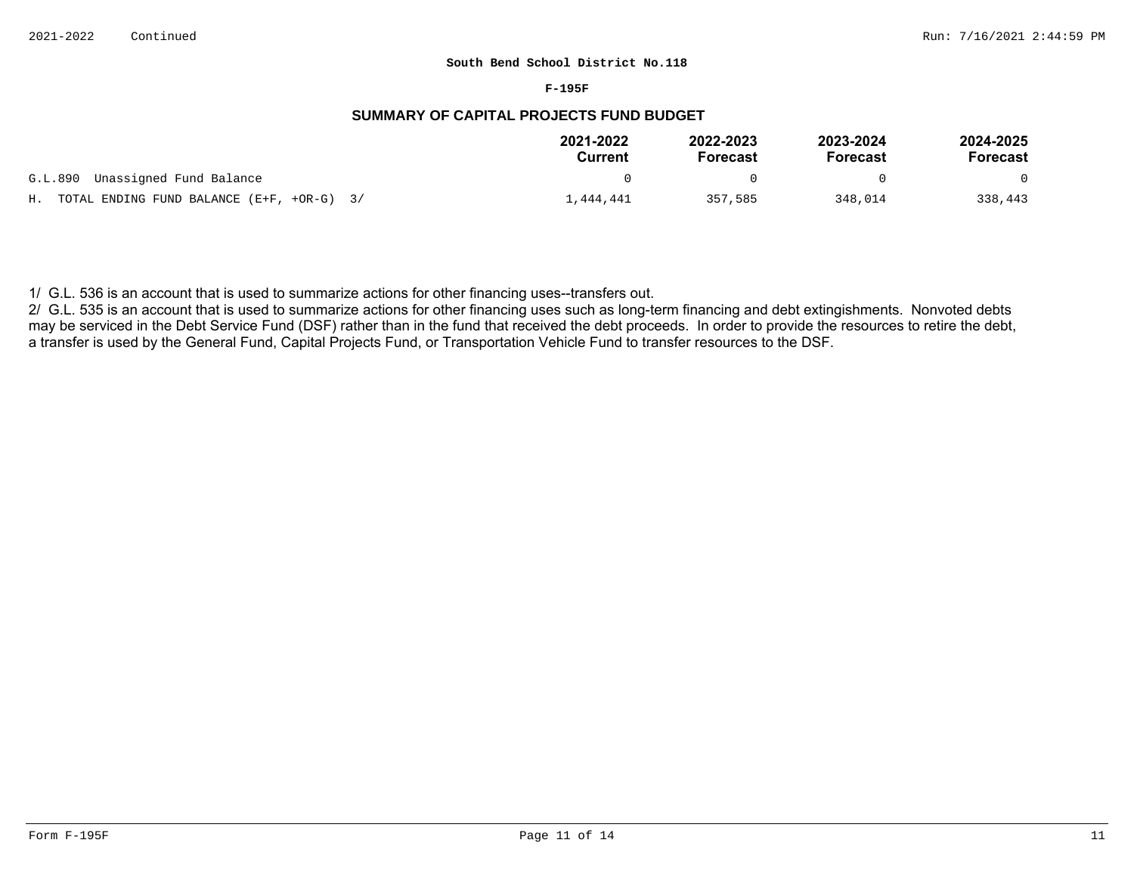#### **F-195F**

# **SUMMARY OF CAPITAL PROJECTS FUND BUDGET**

|                                              | 2021-2022<br>Current | 2022-2023<br><b>Forecast</b> | 2023-2024<br>Forecast | 2024-2025<br>Forecast |
|----------------------------------------------|----------------------|------------------------------|-----------------------|-----------------------|
| G.L.890 Unassigned Fund Balance              |                      | $^{\circ}$                   |                       | $\Omega$              |
| H. TOTAL ENDING FUND BALANCE (E+F, +OR-G) 3/ | 1,444,441            | 357,585                      | 348,014               | 338,443               |

1/ G.L. 536 is an account that is used to summarize actions for other financing uses--transfers out.

2/ G.L. 535 is an account that is used to summarize actions for other financing uses such as long-term financing and debt extingishments. Nonvoted debts may be serviced in the Debt Service Fund (DSF) rather than in the fund that received the debt proceeds. In order to provide the resources to retire the debt, a transfer is used by the General Fund, Capital Projects Fund, or Transportation Vehicle Fund to transfer resources to the DSF.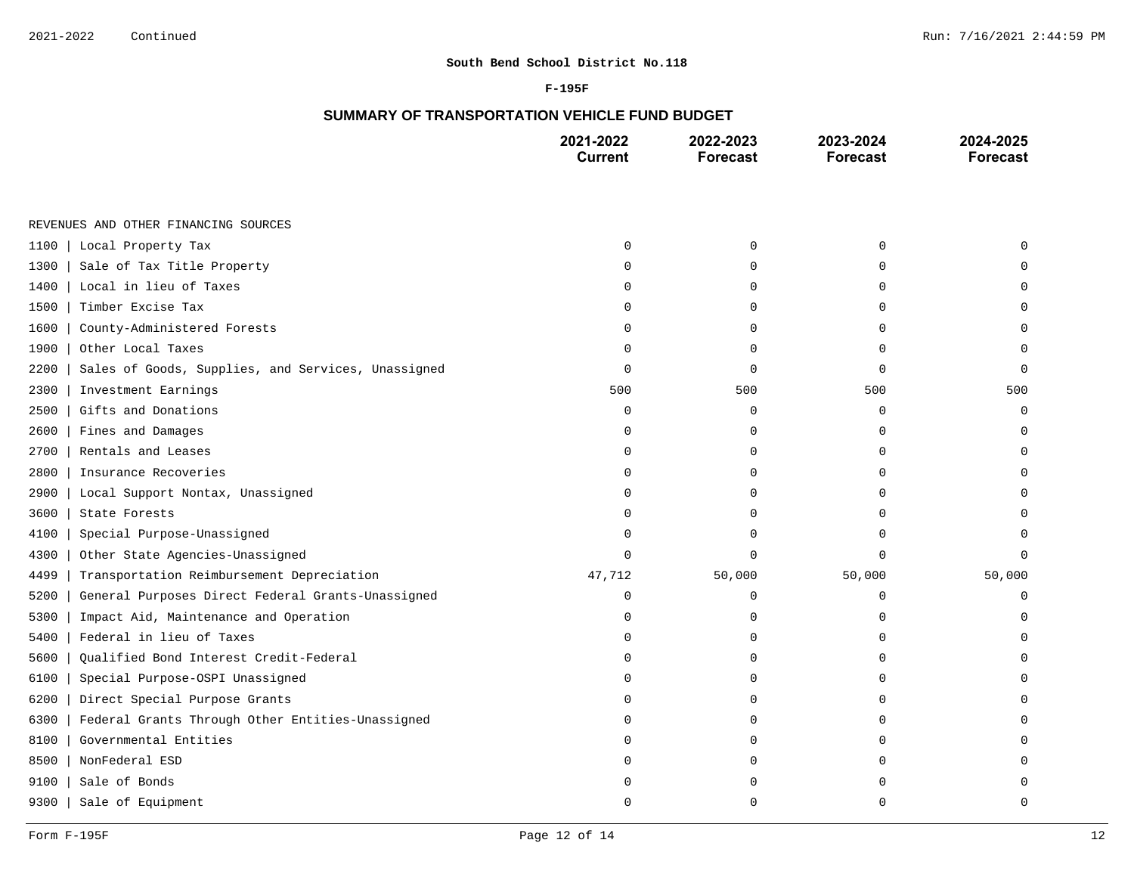#### **F-195F**

# **SUMMARY OF TRANSPORTATION VEHICLE FUND BUDGET**

|                                                            | 2021-2022<br><b>Current</b> | 2022-2023<br><b>Forecast</b> | 2023-2024<br><b>Forecast</b> | 2024-2025<br><b>Forecast</b> |
|------------------------------------------------------------|-----------------------------|------------------------------|------------------------------|------------------------------|
|                                                            |                             |                              |                              |                              |
| REVENUES AND OTHER FINANCING SOURCES                       |                             |                              |                              |                              |
| Local Property Tax<br>1100                                 | $\mathbf 0$                 | $\mathbf 0$                  | $\mathbf 0$                  |                              |
| Sale of Tax Title Property<br>1300                         | $\Omega$                    | $\mathbf 0$                  | $\Omega$                     |                              |
| Local in lieu of Taxes<br>1400                             | 0                           | $\mathbf 0$                  | $\mathbf 0$                  |                              |
| Timber Excise Tax<br>1500                                  | 0                           | 0                            | 0                            | U                            |
| County-Administered Forests<br>1600                        | $\Omega$                    | $\Omega$                     | $\Omega$                     | U                            |
| Other Local Taxes<br>1900                                  | $\Omega$                    | 0                            | $\Omega$                     | $\Omega$                     |
| 2200<br>Sales of Goods, Supplies, and Services, Unassigned | 0                           | $\mathbf 0$                  | $\mathbf 0$                  | $\Omega$                     |
| 2300<br>Investment Earnings                                | 500                         | 500                          | 500                          | 500                          |
| Gifts and Donations<br>2500                                | $\mathbf 0$                 | $\mathbf 0$                  | $\mathbf 0$                  | $\mathbf 0$                  |
| Fines and Damages<br>2600                                  | 0                           | $\mathbf 0$                  | $\mathbf 0$                  | 0                            |
| Rentals and Leases<br>2700                                 | 0                           | 0                            | 0                            | U                            |
| 2800<br>Insurance Recoveries                               | $\Omega$                    | $\Omega$                     | $\cap$                       |                              |
| 2900<br>Local Support Nontax, Unassigned                   | $\Omega$                    | 0                            | $\Omega$                     |                              |
| 3600<br>State Forests                                      | $\Omega$                    | $\mathbf 0$                  | $\Omega$                     |                              |
| Special Purpose-Unassigned<br>4100                         | $\Omega$                    | 0                            | $\Omega$                     |                              |
| 4300<br>Other State Agencies-Unassigned                    | $\Omega$                    | $\Omega$                     | $\Omega$                     | 0                            |
| 4499<br>Transportation Reimbursement Depreciation          | 47,712                      | 50,000                       | 50,000                       | 50,000                       |
| General Purposes Direct Federal Grants-Unassigned<br>5200  | 0                           | 0                            | 0                            | O                            |
| 5300<br>Impact Aid, Maintenance and Operation              | $\Omega$                    | $\Omega$                     | U                            |                              |
| Federal in lieu of Taxes<br>5400                           | $\Omega$                    | $\mathbf 0$                  | $\Omega$                     |                              |
| 5600<br>Qualified Bond Interest Credit-Federal             | 0                           | $\mathbf 0$                  | $\Omega$                     |                              |
| Special Purpose-OSPI Unassigned<br>6100                    | $\Omega$                    | 0                            | $\Omega$                     |                              |
| 6200<br>Direct Special Purpose Grants                      | $\Omega$                    | $\mathbf 0$                  | $\Omega$                     |                              |
| Federal Grants Through Other Entities-Unassigned<br>6300   | O                           | $\mathbf 0$                  | $\Omega$                     |                              |
| Governmental Entities<br>8100                              | n                           | 0                            | $\Omega$                     |                              |
| 8500<br>NonFederal ESD                                     | n                           | $\Omega$                     | U                            |                              |
| 9100<br>Sale of Bonds                                      | U                           | $\Omega$                     | U                            |                              |
| 9300<br>Sale of Equipment                                  | U                           | $\Omega$                     | $\Omega$                     | 0                            |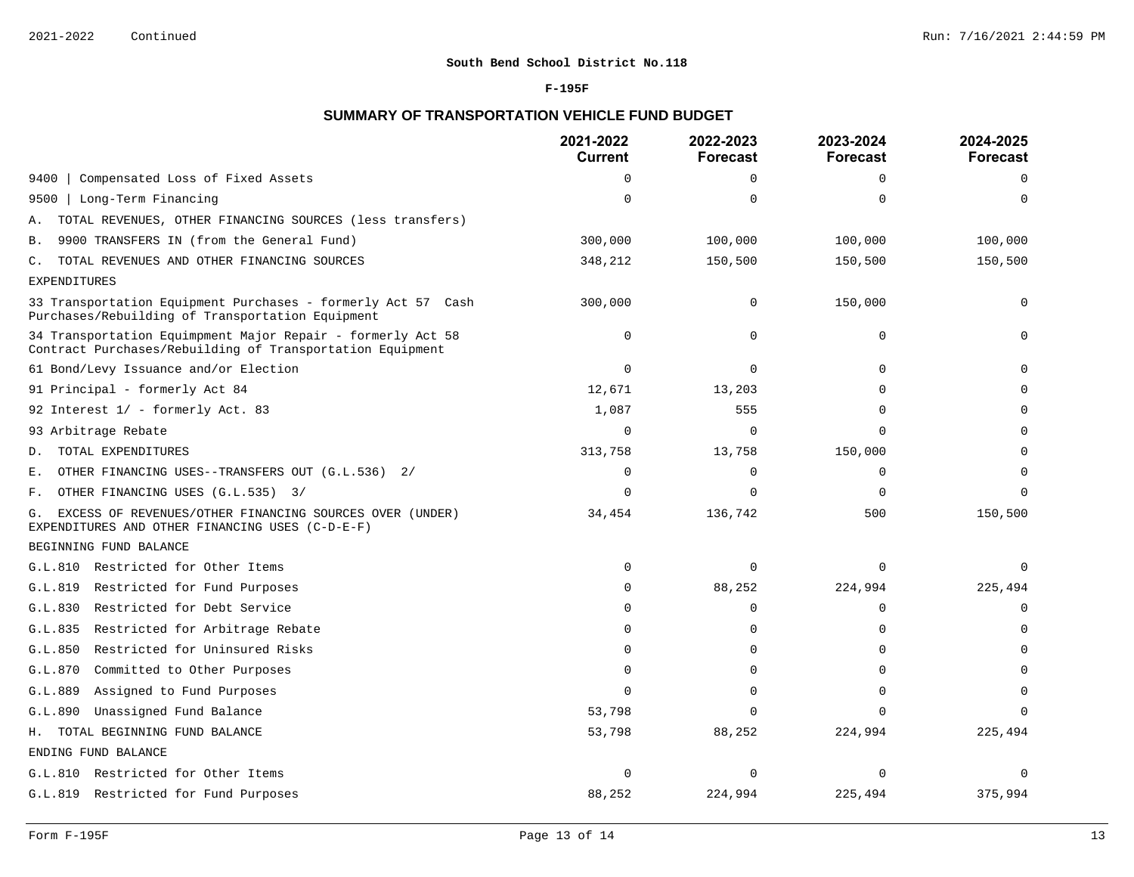### **F-195F**

# **SUMMARY OF TRANSPORTATION VEHICLE FUND BUDGET**

|                                                                                                                          | 2021-2022<br><b>Current</b> | 2022-2023<br>Forecast | 2023-2024<br><b>Forecast</b> | 2024-2025<br><b>Forecast</b> |
|--------------------------------------------------------------------------------------------------------------------------|-----------------------------|-----------------------|------------------------------|------------------------------|
| Compensated Loss of Fixed Assets<br>9400                                                                                 | $\Omega$                    | $\Omega$              | $\Omega$                     | $\Omega$                     |
| Long-Term Financing<br>9500                                                                                              | $\Omega$                    | 0                     | $\Omega$                     | $\Omega$                     |
| TOTAL REVENUES, OTHER FINANCING SOURCES (less transfers)<br>А.                                                           |                             |                       |                              |                              |
| 9900 TRANSFERS IN (from the General Fund)<br>Β.                                                                          | 300,000                     | 100,000               | 100,000                      | 100,000                      |
| TOTAL REVENUES AND OTHER FINANCING SOURCES<br>С.                                                                         | 348,212                     | 150,500               | 150,500                      | 150,500                      |
| <b>EXPENDITURES</b>                                                                                                      |                             |                       |                              |                              |
| 33 Transportation Equipment Purchases - formerly Act 57 Cash<br>Purchases/Rebuilding of Transportation Equipment         | 300,000                     | 0                     | 150,000                      | $\mathbf 0$                  |
| 34 Transportation Equimpment Major Repair - formerly Act 58<br>Contract Purchases/Rebuilding of Transportation Equipment | $\mathbf 0$                 | 0                     | $\Omega$                     | $\Omega$                     |
| 61 Bond/Levy Issuance and/or Election                                                                                    | $\Omega$                    | $\Omega$              | $\Omega$                     |                              |
| 91 Principal - formerly Act 84                                                                                           | 12,671                      | 13,203                | $\Omega$                     |                              |
| 92 Interest 1/ - formerly Act. 83                                                                                        | 1,087                       | 555                   | $\Omega$                     | $\Omega$                     |
| 93 Arbitrage Rebate                                                                                                      | $\Omega$                    | ∩                     | $\cap$                       |                              |
| TOTAL EXPENDITURES<br>D.                                                                                                 | 313,758                     | 13,758                | 150,000                      |                              |
| OTHER FINANCING USES--TRANSFERS OUT (G.L.536) 2/<br>Ε.                                                                   | 0                           | $\Omega$              | 0                            |                              |
| OTHER FINANCING USES (G.L.535) 3/<br>F.                                                                                  | $\Omega$                    | $\Omega$              | $\Omega$                     | $\Omega$                     |
| EXCESS OF REVENUES/OTHER FINANCING SOURCES OVER (UNDER)<br>G.<br>EXPENDITURES AND OTHER FINANCING USES (C-D-E-F)         | 34,454                      | 136,742               | 500                          | 150,500                      |
| BEGINNING FUND BALANCE                                                                                                   |                             |                       |                              |                              |
| G.L.810 Restricted for Other Items                                                                                       | $\Omega$                    | $\Omega$              | $\Omega$                     | $\Omega$                     |
| G.L.819<br>Restricted for Fund Purposes                                                                                  | $\Omega$                    | 88,252                | 224,994                      | 225,494                      |
| Restricted for Debt Service<br>G.L.830                                                                                   | O                           | $\Omega$              | $\Omega$                     | $\Omega$                     |
| Restricted for Arbitrage Rebate<br>G.L.835                                                                               | $\Omega$                    | 0                     | $\Omega$                     | $\Omega$                     |
| Restricted for Uninsured Risks<br>G.L.850                                                                                | O                           | $\Omega$              | $\Omega$                     |                              |
| G.L.870<br>Committed to Other Purposes                                                                                   | $\Omega$                    | 0                     | $\Omega$                     |                              |
| Assigned to Fund Purposes<br>G.L.889                                                                                     | U                           | $\Omega$              | $\Omega$                     |                              |
| Unassigned Fund Balance<br>G.L.890                                                                                       | 53,798                      | $\Omega$              | $\Omega$                     |                              |
| H. TOTAL BEGINNING FUND BALANCE                                                                                          | 53,798                      | 88,252                | 224,994                      | 225,494                      |
| ENDING FUND BALANCE                                                                                                      |                             |                       |                              |                              |
| G.L.810 Restricted for Other Items                                                                                       | O                           | $\Omega$              | $\Omega$                     | $\Omega$                     |
| G.L.819 Restricted for Fund Purposes                                                                                     | 88,252                      | 224,994               | 225,494                      | 375,994                      |